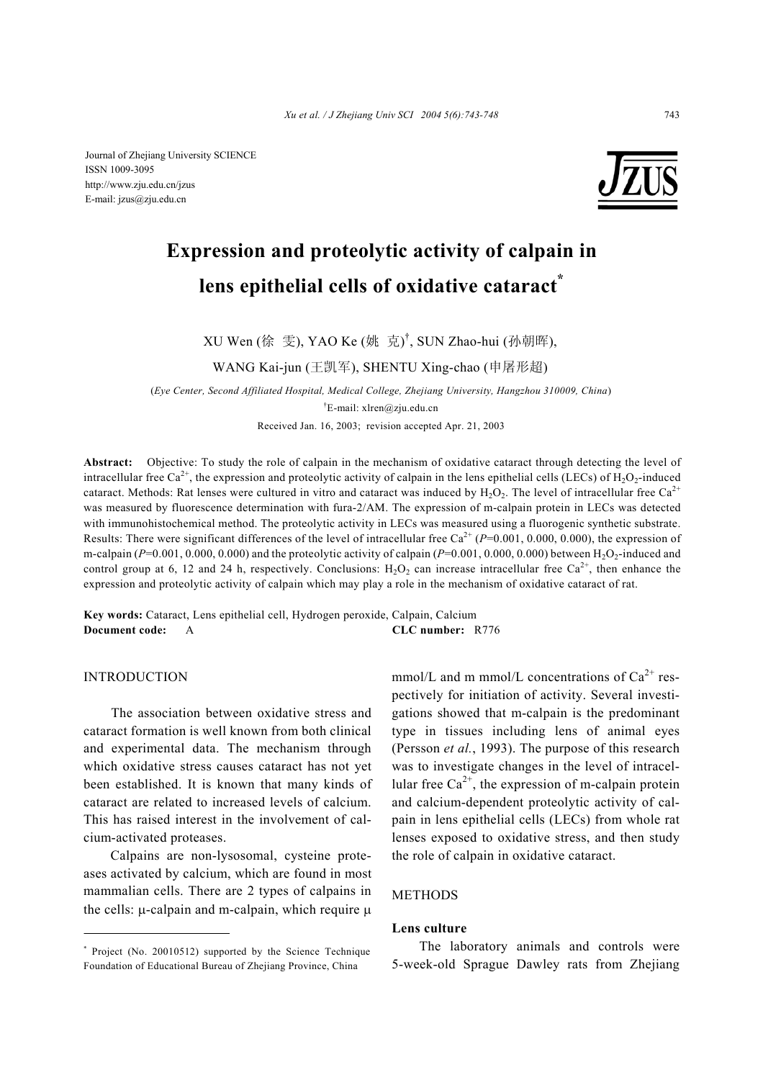Journal of Zhejiang University SCIENCE ISSN 1009-3095 http://www.zju.edu.cn/jzus E-mail: jzus@zju.edu.cn



# **Expression and proteolytic activity of calpain in lens epithelial cells of oxidative cataract\***

XU Wen (徐 雯), YAO Ke (姚 克) † , SUN Zhao-hui (孙朝晖),

WANG Kai-jun (王凯军), SHENTU Xing-chao (申屠形超)

(*Eye Center, Second Affiliated Hospital, Medical College, Zhejiang University, Hangzhou 310009, China*) † E-mail: xlren@zju.edu.cn

Received Jan. 16, 2003; revision accepted Apr. 21, 2003

**Abstract:** Objective: To study the role of calpain in the mechanism of oxidative cataract through detecting the level of intracellular free Ca<sup>2+</sup>, the expression and proteolytic activity of calpain in the lens epithelial cells (LECs) of H<sub>2</sub>O<sub>2</sub>-induced cataract. Methods: Rat lenses were cultured in vitro and cataract was induced by  $H_2O_2$ . The level of intracellular free Ca<sup>2+</sup> was measured by fluorescence determination with fura-2/AM. The expression of m-calpain protein in LECs was detected with immunohistochemical method. The proteolytic activity in LECs was measured using a fluorogenic synthetic substrate. Results: There were significant differences of the level of intracellular free  $Ca^{2+}$  ( $P=0.001, 0.000, 0.000$ ), the expression of m-calpain ( $P=0.001, 0.000, 0.000$ ) and the proteolytic activity of calpain ( $P=0.001, 0.000, 0.000$ ) between H<sub>2</sub>O<sub>2</sub>-induced and control group at 6, 12 and 24 h, respectively. Conclusions:  $H_2O_2$  can increase intracellular free Ca<sup>2+</sup>, then enhance the expression and proteolytic activity of calpain which may play a role in the mechanism of oxidative cataract of rat.

**Key words:** Cataract, Lens epithelial cell, Hydrogen peroxide, Calpain, Calcium **Document code:** A **CLC number:** R776

# INTRODUCTION

The association between oxidative stress and cataract formation is well known from both clinical and experimental data. The mechanism through which oxidative stress causes cataract has not yet been established. It is known that many kinds of cataract are related to increased levels of calcium. This has raised interest in the involvement of calcium-activated proteases.

Calpains are non-lysosomal, cysteine proteases activated by calcium, which are found in most mammalian cells. There are 2 types of calpains in the cells:  $\mu$ -calpain and m-calpain, which require  $\mu$ 

mmol/L and m mmol/L concentrations of  $Ca^{2+}$  respectively for initiation of activity. Several investigations showed that m-calpain is the predominant type in tissues including lens of animal eyes (Persson *et al.*, 1993). The purpose of this research was to investigate changes in the level of intracellular free  $Ca^{2+}$ , the expression of m-calpain protein and calcium-dependent proteolytic activity of calpain in lens epithelial cells (LECs) from whole rat lenses exposed to oxidative stress, and then study the role of calpain in oxidative cataract.

# METHODS

# **Lens culture**

The laboratory animals and controls were 5-week-old Sprague Dawley rats from Zhejiang

<sup>\*</sup> Project (No. 20010512) supported by the Science Technique Foundation of Educational Bureau of Zhejiang Province, China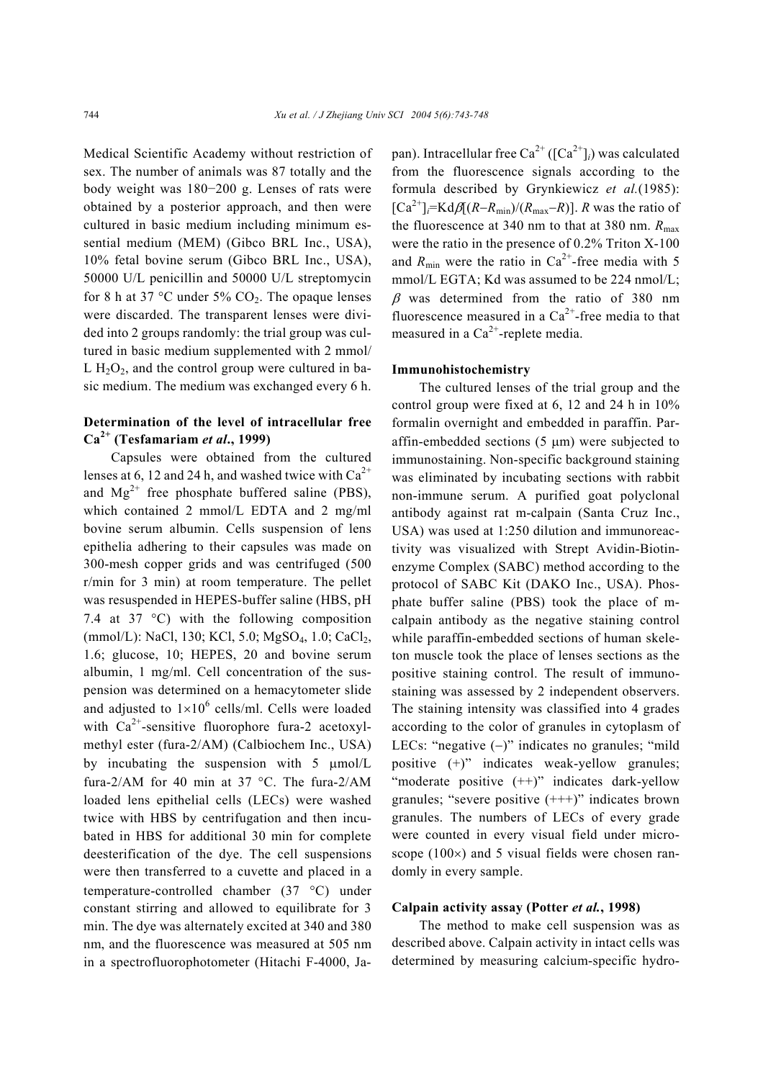Medical Scientific Academy without restriction of sex. The number of animals was 87 totally and the body weight was 180−200 g. Lenses of rats were obtained by a posterior approach, and then were cultured in basic medium including minimum essential medium (MEM) (Gibco BRL Inc., USA), 10% fetal bovine serum (Gibco BRL Inc., USA), 50000 U/L penicillin and 50000 U/L streptomycin for 8 h at 37 °C under 5%  $CO<sub>2</sub>$ . The opaque lenses were discarded. The transparent lenses were divided into 2 groups randomly: the trial group was cultured in basic medium supplemented with 2 mmol/ L  $H_2O_2$ , and the control group were cultured in basic medium. The medium was exchanged every 6 h.

# **Determination of the level of intracellular free Ca2+ (Tesfamariam** *et al***., 1999)**

Capsules were obtained from the cultured lenses at 6, 12 and 24 h, and washed twice with  $Ca^{2+}$ and  $Mg^{2+}$  free phosphate buffered saline (PBS), which contained 2 mmol/L EDTA and 2 mg/ml bovine serum albumin. Cells suspension of lens epithelia adhering to their capsules was made on 300-mesh copper grids and was centrifuged (500 r/min for 3 min) at room temperature. The pellet was resuspended in HEPES-buffer saline (HBS, pH 7.4 at 37 °C) with the following composition (mmol/L): NaCl, 130; KCl, 5.0; MgSO<sub>4</sub>, 1.0; CaCl<sub>2</sub>, 1.6; glucose, 10; HEPES, 20 and bovine serum albumin, 1 mg/ml. Cell concentration of the suspension was determined on a hemacytometer slide and adjusted to  $1 \times 10^6$  cells/ml. Cells were loaded with  $Ca^{2+}$ -sensitive fluorophore fura-2 acetoxylmethyl ester (fura-2/AM) (Calbiochem Inc., USA) by incubating the suspension with 5 µmol/L fura-2/AM for 40 min at 37 °C. The fura-2/AM loaded lens epithelial cells (LECs) were washed twice with HBS by centrifugation and then incubated in HBS for additional 30 min for complete deesterification of the dye. The cell suspensions were then transferred to a cuvette and placed in a temperature-controlled chamber (37 °C) under constant stirring and allowed to equilibrate for 3 min. The dye was alternately excited at 340 and 380 nm, and the fluorescence was measured at 505 nm in a spectrofluorophotometer (Hitachi F-4000, Japan). Intracellular free Ca<sup>2+</sup> ([Ca<sup>2+</sup>]<sub>*i*</sub>) was calculated from the fluorescence signals according to the formula described by Grynkiewicz *et al.*(1985):  $[Ca^{2+}]$ *j*=Kd $\beta[(R-R_{min})/(R_{max}-R)]$ . *R* was the ratio of the fluorescence at 340 nm to that at 380 nm.  $R_{\text{max}}$ were the ratio in the presence of 0.2% Triton X-100 and  $R_{\text{min}}$  were the ratio in Ca<sup>2+</sup>-free media with 5 mmol/L EGTA; Kd was assumed to be 224 nmol/L;  $\beta$  was determined from the ratio of 380 nm fluorescence measured in a  $Ca^{2+}$ -free media to that measured in a  $Ca^{2+}$ -replete media.

# **Immunohistochemistry**

The cultured lenses of the trial group and the control group were fixed at 6, 12 and 24 h in 10% formalin overnight and embedded in paraffin. Paraffin-embedded sections  $(5 \mu m)$  were subjected to immunostaining. Non-specific background staining was eliminated by incubating sections with rabbit non-immune serum. A purified goat polyclonal antibody against rat m-calpain (Santa Cruz Inc., USA) was used at 1:250 dilution and immunoreactivity was visualized with Strept Avidin-Biotinenzyme Complex (SABC) method according to the protocol of SABC Kit (DAKO Inc., USA). Phosphate buffer saline (PBS) took the place of mcalpain antibody as the negative staining control while paraffin-embedded sections of human skeleton muscle took the place of lenses sections as the positive staining control. The result of immunostaining was assessed by 2 independent observers. The staining intensity was classified into 4 grades according to the color of granules in cytoplasm of LECs: "negative (−)" indicates no granules; "mild positive (+)" indicates weak-yellow granules; "moderate positive  $(++)$ " indicates dark-yellow granules; "severe positive  $(+++)$ " indicates brown granules. The numbers of LECs of every grade were counted in every visual field under microscope  $(100\times)$  and 5 visual fields were chosen randomly in every sample.

# **Calpain activity assay (Potter** *et al.***, 1998)**

The method to make cell suspension was as described above. Calpain activity in intact cells was determined by measuring calcium-specific hydro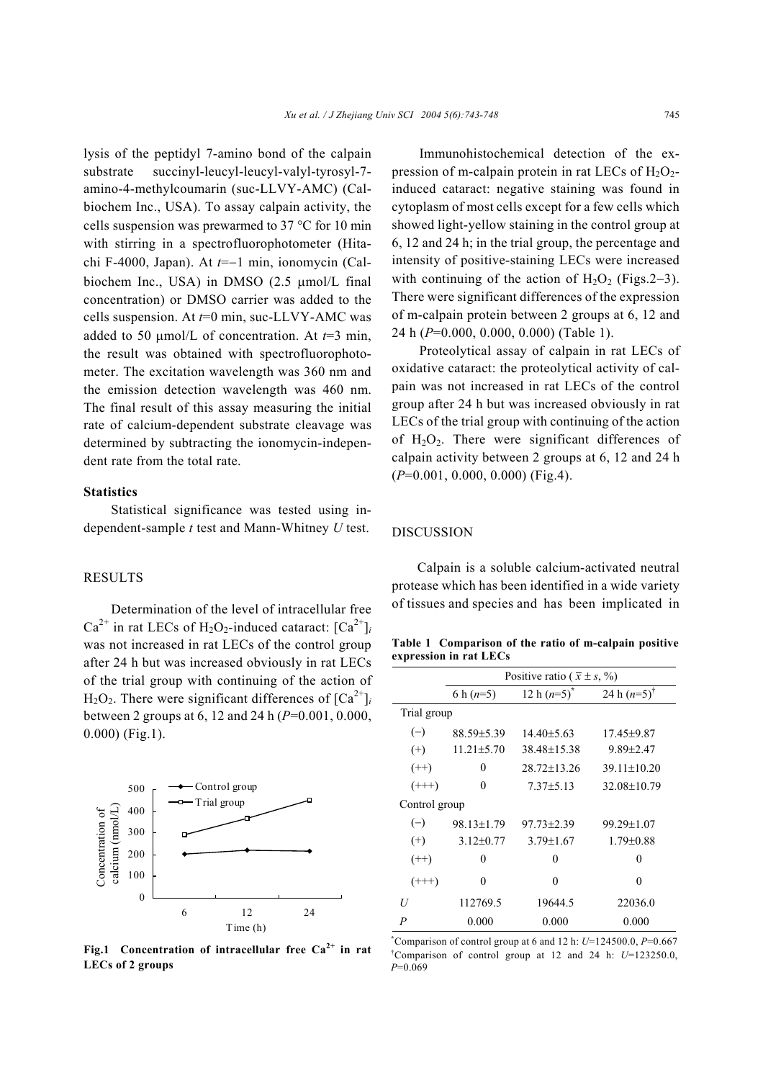lysis of the peptidyl 7-amino bond of the calpain substrate succinyl-leucyl-leucyl-valyl-tyrosyl-7 amino-4-methylcoumarin (suc-LLVY-AMC) (Calbiochem Inc., USA). To assay calpain activity, the cells suspension was prewarmed to 37 °C for 10 min with stirring in a spectrofluorophotometer (Hitachi F-4000, Japan). At *t*=−1 min, ionomycin (Calbiochem Inc., USA) in DMSO (2.5 umol/L final concentration) or DMSO carrier was added to the cells suspension. At *t*=0 min, suc-LLVY-AMC was added to 50  $\mu$ mol/L of concentration. At  $t=3$  min, the result was obtained with spectrofluorophotometer. The excitation wavelength was 360 nm and the emission detection wavelength was 460 nm. The final result of this assay measuring the initial rate of calcium-dependent substrate cleavage was determined by subtracting the ionomycin-independent rate from the total rate.

#### **Statistics**

Statistical significance was tested using independent-sample *t* test and Mann-Whitney *U* test.

## RESULTS

Determination of the level of intracellular free  $Ca^{2+}$  in rat LECs of H<sub>2</sub>O<sub>2</sub>-induced cataract:  $[Ca^{2+}]$ <sub>*i*</sub> was not increased in rat LECs of the control group after 24 h but was increased obviously in rat LECs of the trial group with continuing of the action of  $H_2O_2$ . There were significant differences of  $[Ca^{2+}]_i$ between 2 groups at 6, 12 and 24 h (*P*=0.001, 0.000, 0.000) (Fig.1).



**Fig.1 Concentration of intracellular free Ca2+ in rat LECs of 2 groups**

Immunohistochemical detection of the expression of m-calpain protein in rat LECs of  $H_2O_2$ induced cataract: negative staining was found in cytoplasm of most cells except for a few cells which showed light-yellow staining in the control group at 6, 12 and 24 h; in the trial group, the percentage and intensity of positive-staining LECs were increased with continuing of the action of  $H_2O_2$  (Figs.2–3). There were significant differences of the expression of m-calpain protein between 2 groups at 6, 12 and 24 h (*P*=0.000, 0.000, 0.000) (Table 1).

Proteolytical assay of calpain in rat LECs of oxidative cataract: the proteolytical activity of calpain was not increased in rat LECs of the control group after 24 h but was increased obviously in rat LECs of the trial group with continuing of the action of  $H_2O_2$ . There were significant differences of calpain activity between 2 groups at 6, 12 and 24 h (*P*=0.001, 0.000, 0.000) (Fig.4).

#### DISCUSSION

Calpain is a soluble calcium-activated neutral protease which has been identified in a wide variety of tissues and species and has been implicated in

**Table 1 Comparison of the ratio of m-calpain positive expression in rat LECs**

|               | Positive ratio ( $\bar{x} \pm s$ , %) |                   |                        |
|---------------|---------------------------------------|-------------------|------------------------|
|               | 6 h $(n=5)$                           | 12 h $(n=5)^{n}$  | 24 h $(n=5)^{\dagger}$ |
| Trial group   |                                       |                   |                        |
| $(-)$         | 88.59±5.39                            | $14.40\pm5.63$    | 17.45±9.87             |
| $^{(+)}$      | $11.21 \pm 5.70$                      | 38.48±15.38       | $9.89 \pm 2.47$        |
| $(++)$        | 0                                     | $28.72 \pm 13.26$ | $39.11 \pm 10.20$      |
| $(++)$        | $\theta$                              | $7.37 \pm 5.13$   | 32.08±10.79            |
| Control group |                                       |                   |                        |
| $(-)$         | 98.13±1.79                            | 97.73±2.39        | 99.29±1.07             |
| $^{(+)}$      | $3.12\pm0.77$                         | $3.79 \pm 1.67$   | $1.79 \pm 0.88$        |
| $(++)$        | 0                                     | 0                 | $\theta$               |
| $(++)$        | 0                                     | 0                 | $\theta$               |
| U             | 112769.5                              | 19644.5           | 22036.0                |
| P             | 0.000                                 | 0.000             | 0.000                  |

**\*** Comparison of control group at 6 and 12 h: *U*=124500.0, *P*=0.667 † Comparison of control group at 12 and 24 h: *U*=123250.0, *P*=0.069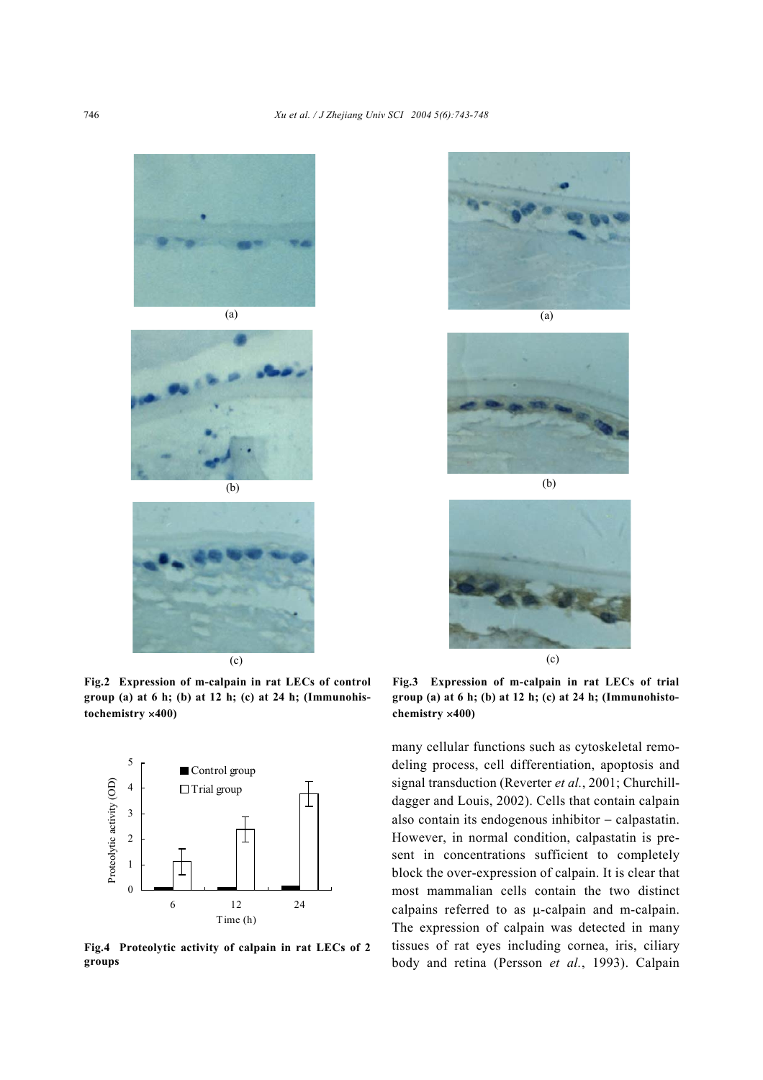





**Fig.2 Expression of m-calpain in rat LECs of control group (a) at 6 h; (b) at 12 h; (c) at 24 h; (Immunohistochemistry** ×**400)** 



**Fig.4 Proteolytic activity of calpain in rat LECs of 2 groups**



(a)





**Fig.3 Expression of m-calpain in rat LECs of trial group (a) at 6 h; (b) at 12 h; (c) at 24 h; (Immunohistochemistry** ×**400)** 

many cellular functions such as cytoskeletal remodeling process, cell differentiation, apoptosis and signal transduction (Reverter *et al.*, 2001; Churchilldagger and Louis, 2002). Cells that contain calpain also contain its endogenous inhibitor − calpastatin. However, in normal condition, calpastatin is present in concentrations sufficient to completely block the over-expression of calpain. It is clear that most mammalian cells contain the two distinct calpains referred to as µ-calpain and m-calpain. The expression of calpain was detected in many tissues of rat eyes including cornea, iris, ciliary body and retina (Persson *et al.*, 1993). Calpain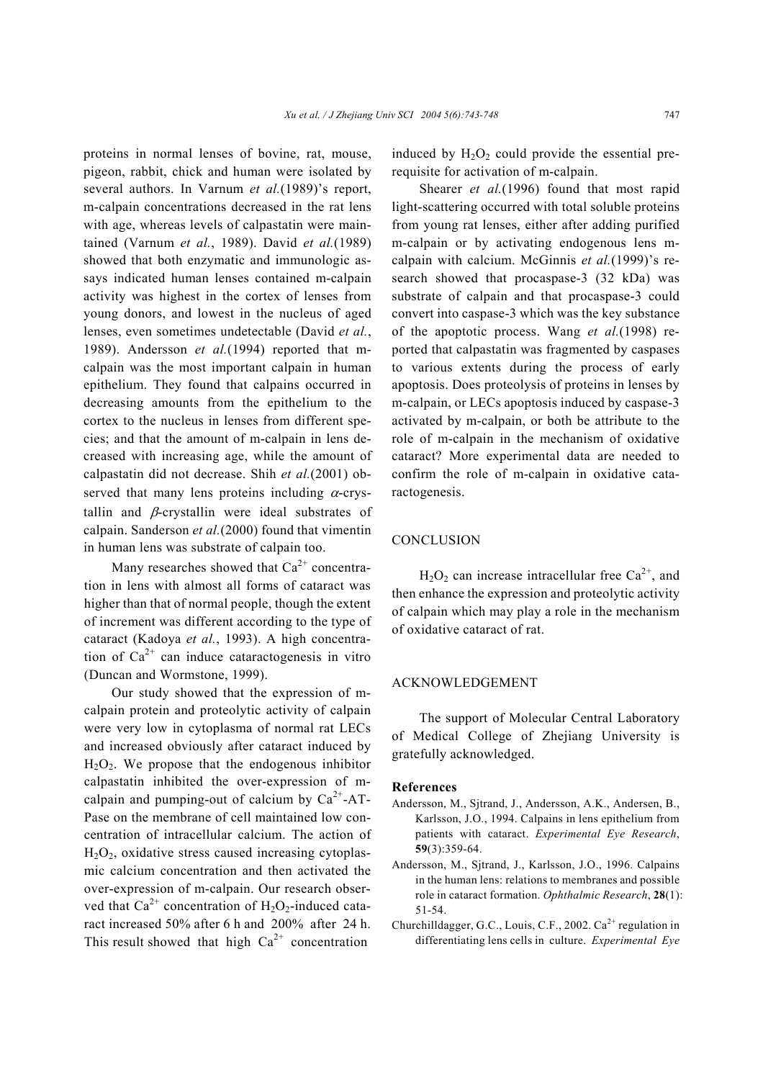proteins in normal lenses of bovine, rat, mouse, pigeon, rabbit, chick and human were isolated by several authors. In Varnum *et al.*(1989)'s report, m-calpain concentrations decreased in the rat lens with age, whereas levels of calpastatin were maintained (Varnum *et al.*, 1989). David *et al.*(1989) showed that both enzymatic and immunologic assays indicated human lenses contained m-calpain activity was highest in the cortex of lenses from young donors, and lowest in the nucleus of aged lenses, even sometimes undetectable (David *et al.*, 1989). Andersson *et al.*(1994) reported that mcalpain was the most important calpain in human epithelium. They found that calpains occurred in decreasing amounts from the epithelium to the cortex to the nucleus in lenses from different species; and that the amount of m-calpain in lens decreased with increasing age, while the amount of calpastatin did not decrease. Shih *et al.*(2001) observed that many lens proteins including  $\alpha$ -crystallin and  $\beta$ -crystallin were ideal substrates of calpain. Sanderson *et al.*(2000) found that vimentin in human lens was substrate of calpain too.

Many researches showed that  $Ca^{2+}$  concentration in lens with almost all forms of cataract was higher than that of normal people, though the extent of increment was different according to the type of cataract (Kadoya *et al.*, 1993). A high concentration of  $Ca^{2+}$  can induce cataractogenesis in vitro (Duncan and Wormstone, 1999).

Our study showed that the expression of mcalpain protein and proteolytic activity of calpain were very low in cytoplasma of normal rat LECs and increased obviously after cataract induced by  $H<sub>2</sub>O<sub>2</sub>$ . We propose that the endogenous inhibitor calpastatin inhibited the over-expression of mcalpain and pumping-out of calcium by  $Ca^{2+}-AT-$ Pase on the membrane of cell maintained low concentration of intracellular calcium. The action of  $H_2O_2$ , oxidative stress caused increasing cytoplasmic calcium concentration and then activated the over-expression of m-calpain. Our research observed that  $Ca^{2+}$  concentration of  $H_2O_2$ -induced cataract increased 50% after 6 h and 200% after 24 h. This result showed that high  $Ca^{2+}$  concentration

induced by  $H_2O_2$  could provide the essential prerequisite for activation of m-calpain.

Shearer *et al.*(1996) found that most rapid light-scattering occurred with total soluble proteins from young rat lenses, either after adding purified m-calpain or by activating endogenous lens mcalpain with calcium. McGinnis *et al.*(1999)'s research showed that procaspase-3 (32 kDa) was substrate of calpain and that procaspase-3 could convert into caspase-3 which was the key substance of the apoptotic process. Wang *et al.*(1998) reported that calpastatin was fragmented by caspases to various extents during the process of early apoptosis. Does proteolysis of proteins in lenses by m-calpain, or LECs apoptosis induced by caspase-3 activated by m-calpain, or both be attribute to the role of m-calpain in the mechanism of oxidative cataract? More experimental data are needed to confirm the role of m-calpain in oxidative cataractogenesis.

# **CONCLUSION**

 $H_2O_2$  can increase intracellular free Ca<sup>2+</sup>, and then enhance the expression and proteolytic activity of calpain which may play a role in the mechanism of oxidative cataract of rat.

# ACKNOWLEDGEMENT

The support of Molecular Central Laboratory of Medical College of Zhejiang University is gratefully acknowledged.

#### **References**

- Andersson, M., Sjtrand, J., Andersson, A.K., Andersen, B., Karlsson, J.O., 1994. Calpains in lens epithelium from patients with cataract. *Experimental Eye Research*, **59**(3):359-64.
- Andersson, M., Sjtrand, J., Karlsson, J.O., 1996. Calpains in the human lens: relations to membranes and possible role in cataract formation. *Ophthalmic Research*, **28**(1): 51-54.
- Churchilldagger, G.C., Louis, C.F., 2002,  $Ca^{2+}$  regulation in differentiating lens cells in culture. *Experimental Eye*